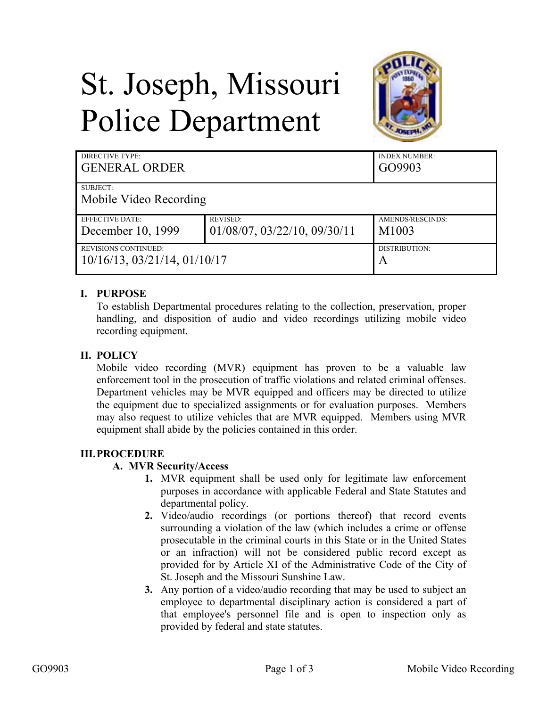# St. Joseph, Missouri Police Department



| DIRECTIVE TYPE:                      |                                      | <b>INDEX NUMBER:</b> |
|--------------------------------------|--------------------------------------|----------------------|
| <b>GENERAL ORDER</b>                 |                                      | GO9903               |
| SUBJECT:<br>Mobile Video Recording   |                                      |                      |
| <b>EFFECTIVE DATE:</b>               | <b>REVISED:</b>                      | AMENDS/RESCINDS:     |
| December 10, 1999                    | $01/08/07$ , $03/22/10$ , $09/30/11$ | M1003                |
| <b>REVISIONS CONTINUED:</b>          |                                      | DISTRIBUTION:        |
| $10/16/13$ , $03/21/14$ , $01/10/17$ |                                      | A                    |

### **I. PURPOSE**

To establish Departmental procedures relating to the collection, preservation, proper handling, and disposition of audio and video recordings utilizing mobile video recording equipment.

#### **II. POLICY**

Mobile video recording (MVR) equipment has proven to be a valuable law enforcement tool in the prosecution of traffic violations and related criminal offenses. Department vehicles may be MVR equipped and officers may be directed to utilize the equipment due to specialized assignments or for evaluation purposes. Members may also request to utilize vehicles that are MVR equipped. Members using MVR equipment shall abide by the policies contained in this order.

#### **III.PROCEDURE**

#### **A. MVR Security/Access**

- **1.** MVR equipment shall be used only for legitimate law enforcement purposes in accordance with applicable Federal and State Statutes and departmental policy.
- **2.** Video/audio recordings (or portions thereof) that record events surrounding a violation of the law (which includes a crime or offense prosecutable in the criminal courts in this State or in the United States or an infraction) will not be considered public record except as provided for by Article XI of the Administrative Code of the City of St. Joseph and the Missouri Sunshine Law.
- **3.** Any portion of a video/audio recording that may be used to subject an employee to departmental disciplinary action is considered a part of that employee's personnel file and is open to inspection only as provided by federal and state statutes.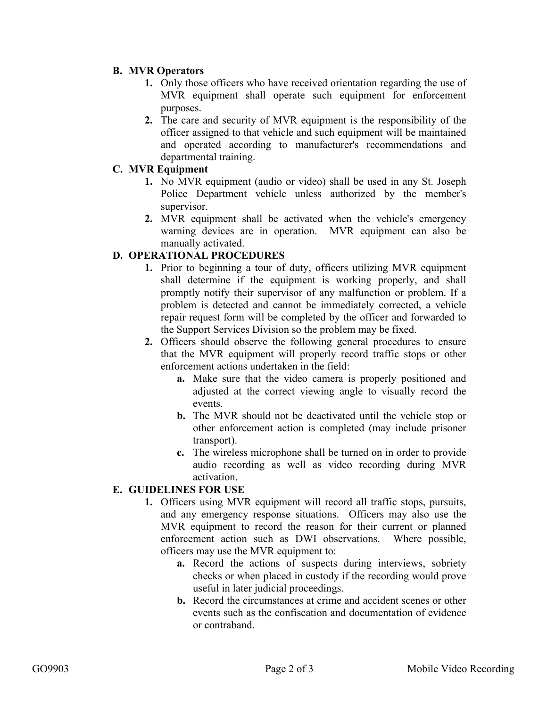#### **B. MVR Operators**

- **1.** Only those officers who have received orientation regarding the use of MVR equipment shall operate such equipment for enforcement purposes.
- **2.** The care and security of MVR equipment is the responsibility of the officer assigned to that vehicle and such equipment will be maintained and operated according to manufacturer's recommendations and departmental training.

#### **C. MVR Equipment**

- **1.** No MVR equipment (audio or video) shall be used in any St. Joseph Police Department vehicle unless authorized by the member's supervisor.
- **2.** MVR equipment shall be activated when the vehicle's emergency warning devices are in operation. MVR equipment can also be manually activated.

# **D. OPERATIONAL PROCEDURES**

- **1.** Prior to beginning a tour of duty, officers utilizing MVR equipment shall determine if the equipment is working properly, and shall promptly notify their supervisor of any malfunction or problem. If a problem is detected and cannot be immediately corrected, a vehicle repair request form will be completed by the officer and forwarded to the Support Services Division so the problem may be fixed.
- **2.** Officers should observe the following general procedures to ensure that the MVR equipment will properly record traffic stops or other enforcement actions undertaken in the field:
	- **a.** Make sure that the video camera is properly positioned and adjusted at the correct viewing angle to visually record the events.
	- **b.** The MVR should not be deactivated until the vehicle stop or other enforcement action is completed (may include prisoner transport).
	- **c.** The wireless microphone shall be turned on in order to provide audio recording as well as video recording during MVR activation.

# **E. GUIDELINES FOR USE**

- **1.** Officers using MVR equipment will record all traffic stops, pursuits, and any emergency response situations. Officers may also use the MVR equipment to record the reason for their current or planned enforcement action such as DWI observations. Where possible, officers may use the MVR equipment to:
	- **a.** Record the actions of suspects during interviews, sobriety checks or when placed in custody if the recording would prove useful in later judicial proceedings.
	- **b.** Record the circumstances at crime and accident scenes or other events such as the confiscation and documentation of evidence or contraband.